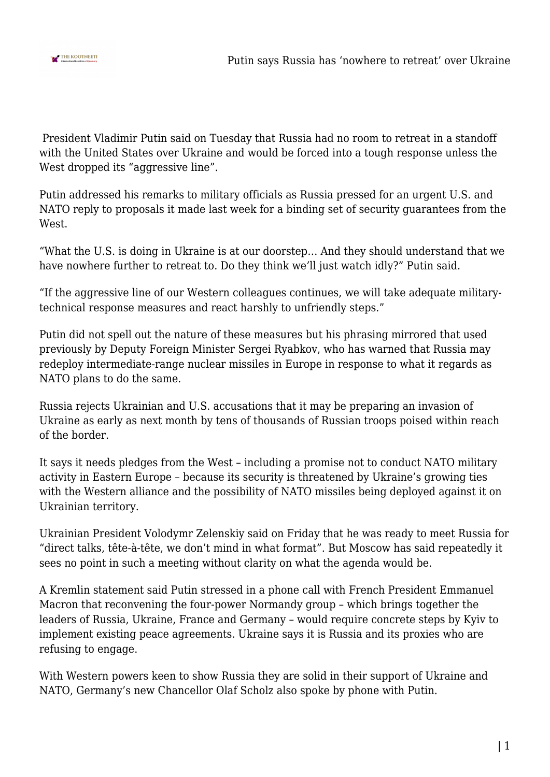

 President Vladimir Putin said on Tuesday that Russia had no room to retreat in a standoff with the United States over Ukraine and would be forced into a tough response unless the West dropped its "aggressive line".

Putin addressed his remarks to military officials as Russia pressed for an urgent U.S. and NATO reply to proposals it made last week for a binding set of security guarantees from the West

"What the U.S. is doing in Ukraine is at our doorstep… And they should understand that we have nowhere further to retreat to. Do they think we'll just watch idly?" Putin said.

"If the aggressive line of our Western colleagues continues, we will take adequate militarytechnical response measures and react harshly to unfriendly steps."

Putin did not spell out the nature of these measures but his phrasing mirrored that used previously by Deputy Foreign Minister Sergei Ryabkov, who has warned that Russia may redeploy intermediate-range nuclear missiles in Europe in response to what it regards as NATO plans to do the same.

Russia rejects Ukrainian and U.S. accusations that it may be preparing an invasion of Ukraine as early as next month by tens of thousands of Russian troops poised within reach of the border.

It says it needs pledges from the West – including a promise not to conduct NATO military activity in Eastern Europe – because its security is threatened by Ukraine's growing ties with the Western alliance and the possibility of NATO missiles being deployed against it on Ukrainian territory.

Ukrainian President Volodymr Zelenskiy said on Friday that he was ready to meet Russia for "direct talks, tête-à-tête, we don't mind in what format". But Moscow has said repeatedly it sees no point in such a meeting without clarity on what the agenda would be.

A Kremlin statement said Putin stressed in a phone call with French President Emmanuel Macron that reconvening the four-power Normandy group – which brings together the leaders of Russia, Ukraine, France and Germany – would require concrete steps by Kyiv to implement existing peace agreements. Ukraine says it is Russia and its proxies who are refusing to engage.

With Western powers keen to show Russia they are solid in their support of Ukraine and NATO, Germany's new Chancellor Olaf Scholz also spoke by phone with Putin.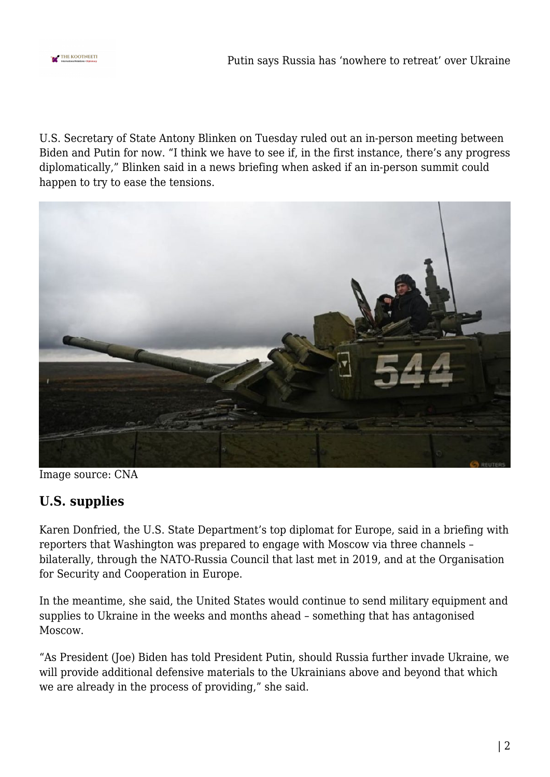

Putin says Russia has 'nowhere to retreat' over Ukraine

U.S. Secretary of State Antony Blinken on Tuesday ruled out an in-person meeting between Biden and Putin for now. "I think we have to see if, in the first instance, there's any progress diplomatically," Blinken said in a news briefing when asked if an in-person summit could happen to try to ease the tensions.



Image source: CNA

## **U.S. supplies**

Karen Donfried, the U.S. State Department's top diplomat for Europe, said in a briefing with reporters that Washington was prepared to engage with Moscow via three channels – bilaterally, through the NATO-Russia Council that last met in 2019, and at the Organisation for Security and Cooperation in Europe.

In the meantime, she said, the United States would continue to send military equipment and supplies to Ukraine in the weeks and months ahead – something that has antagonised Moscow.

"As President (Joe) Biden has told President Putin, should Russia further invade Ukraine, we will provide additional defensive materials to the Ukrainians above and beyond that which we are already in the process of providing," she said.